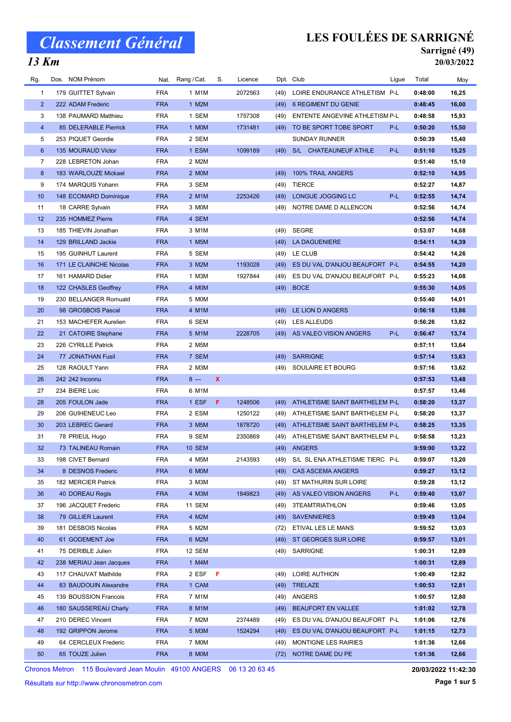## $\overline{13 \text{ Km}}$

# LES FOULÉES DE SARRIGNÉ

### Sarrigné (49) 20/03/2022

| Rg.            | Dos. NOM Prénom         | Nat.       | Rang / Cat.   | S.           | Licence |      | Dpt. Club                       | Ligue | Total   | Moy   |
|----------------|-------------------------|------------|---------------|--------------|---------|------|---------------------------------|-------|---------|-------|
| 1              | 179 GUITTET Sylvain     | <b>FRA</b> | 1 M1M         |              | 2072563 | (49) | LOIRE ENDURANCE ATHLETISM P-L   |       | 0:48:00 | 16,25 |
| $\overline{2}$ | 222 ADAM Frederic       | <b>FRA</b> | 1 M2M         |              |         | (49) | <b>6 REGIMENT DU GENIE</b>      |       | 0:48:45 | 16,00 |
| 3              | 138 PAUMARD Matthieu    | <b>FRA</b> | 1 SEM         |              | 1757308 | (49) | ENTENTE ANGEVINE ATHLETISM P-L  |       | 0:48:58 | 15,93 |
| $\overline{4}$ | 85 DELERABLE Pierrick   | <b>FRA</b> | 1 MOM         |              | 1731481 | (49) | TO BE SPORT TOBE SPORT          | P-L   | 0:50:20 | 15,50 |
| 5              | 253 PIQUET Geordie      | <b>FRA</b> | 2 SEM         |              |         |      | <b>SUNDAY RUNNER</b>            |       | 0:50:39 | 15,40 |
| 6              | 135 MOURAUD Victor      | <b>FRA</b> | 1 ESM         |              | 1099189 | (49) | S/L CHATEAUNEUF ATHLE           | P-L   | 0:51:10 | 15,25 |
| $\overline{7}$ | 228 LEBRETON Johan      | <b>FRA</b> | 2 M2M         |              |         |      |                                 |       | 0:51:40 | 15,10 |
| 8              | 183 WARLOUZE Mickael    | <b>FRA</b> | 2 MOM         |              |         | (49) | 100% TRAIL ANGERS               |       | 0:52:10 | 14,95 |
| 9              | 174 MARQUIS Yohann      | <b>FRA</b> | 3 SEM         |              |         | (49) | <b>TIERCE</b>                   |       | 0:52:27 | 14,87 |
| 10             | 148 ECOMARD Dominique   | <b>FRA</b> | 2 M1M         |              | 2253426 | (49) | LONGUE JOGGING LC               | P-L   | 0:52:55 | 14,74 |
| 11             | 18 CARRE Sylvain        | <b>FRA</b> | 3 MOM         |              |         | (49) | NOTRE DAME D ALLENCON           |       | 0:52:56 | 14,74 |
| 12             | 235 HOMMEZ Pierre       | <b>FRA</b> | 4 SEM         |              |         |      |                                 |       | 0:52:56 | 14,74 |
| 13             | 185 THIEVIN Jonathan    | <b>FRA</b> | 3 M1M         |              |         | (49) | <b>SEGRE</b>                    |       | 0:53:07 | 14,68 |
| 14             | 129 BRILLAND Jackie     | <b>FRA</b> | 1 M5M         |              |         | (49) | <b>LA DAGUENIERE</b>            |       | 0:54:11 | 14,39 |
| 15             | 195 GUINHUT Laurent     | <b>FRA</b> | 5 SEM         |              |         | (49) | LE CLUB                         |       | 0:54:42 | 14,26 |
| 16             | 171 LE CLAINCHE Nicolas | <b>FRA</b> | 3 M2M         |              | 1193028 | (49) | ES DU VAL D'ANJOU BEAUFORT P-L  |       | 0:54:55 | 14,20 |
| 17             | 161 HAMARD Didier       | <b>FRA</b> | 1 M3M         |              | 1927844 | (49) | ES DU VAL D'ANJOU BEAUFORT P-L  |       | 0:55:23 | 14,08 |
| 18             | 122 CHASLES Geoffrey    | <b>FRA</b> | 4 MOM         |              |         |      | (49) BOCE                       |       | 0:55:30 | 14,05 |
| 19             | 230 BELLANGER Romuald   | <b>FRA</b> | 5 MOM         |              |         |      |                                 |       | 0:55:40 | 14,01 |
| 20             | 98 GROSBOIS Pascal      | <b>FRA</b> | 4 M1M         |              |         | (49) | LE LION D ANGERS                |       | 0:56:18 | 13,86 |
| 21             | 153 MACHEFER Aurelien   | <b>FRA</b> | 6 SEM         |              |         | (49) | LES ALLEUDS                     |       | 0:56:26 | 13,82 |
| 22             | 21 CATOIRE Stephane     | <b>FRA</b> | 5 M1M         |              | 2228705 |      | (49) AS VALEO VISION ANGERS     | P-L   | 0:56:47 | 13,74 |
| 23             | 226 CYRILLE Patrick     | <b>FRA</b> | 2 M5M         |              |         |      |                                 |       | 0:57:11 | 13,64 |
| 24             | 77 JONATHAN Fusil       | <b>FRA</b> | 7 SEM         |              |         | (49) | <b>SARRIGNE</b>                 |       | 0:57:14 | 13,63 |
| 25             | 128 RAOULT Yann         | <b>FRA</b> | 2 M3M         |              |         | (49) | SOULAIRE ET BOURG               |       | 0:57:16 | 13,62 |
| 26             | 242 242 Inconnu         | <b>FRA</b> | $8 -$         | $\mathbf{x}$ |         |      |                                 |       | 0:57:53 | 13,48 |
| 27             | 234 BIERE Loic          | <b>FRA</b> | 6 M1M         |              |         |      |                                 |       | 0:57:57 | 13,46 |
| 28             | 205 FOULON Jade         | <b>FRA</b> | 1 ESF         | F.           | 1248506 | (49) | ATHLETISME SAINT BARTHELEM P-L  |       | 0:58:20 | 13,37 |
| 29             | 206 GUIHENEUC Leo       | <b>FRA</b> | 2 ESM         |              | 1250122 | (49) | ATHLETISME SAINT BARTHELEM P-L  |       | 0:58:20 | 13,37 |
| 30             | 203 LEBREC Gerard       | <b>FRA</b> | 3 M5M         |              | 1878720 | (49) | ATHLETISME SAINT BARTHELEM P-L  |       | 0:58:25 | 13,35 |
| 31             | 78 PRIEUL Hugo          | <b>FRA</b> | 9 SEM         |              | 2350869 | (49) | ATHLETISME SAINT BARTHELEM P-L  |       | 0:58:58 | 13,23 |
| 32             | 73 TALINEAU Romain      | <b>FRA</b> | <b>10 SEM</b> |              |         |      | (49) ANGERS                     |       | 0:59:00 | 13,22 |
| 33             | 198 CIVET Bernard       | FRA        | 4 M5M         |              | 2143593 | (49) | S/L SL ENA ATHLETISME TIERC P-L |       | 0:59:07 | 13,20 |
| 34             | 8 DESNOS Frederic       | <b>FRA</b> | 6 MOM         |              |         | (49) | <b>CAS ASCEMA ANGERS</b>        |       | 0:59:27 | 13,12 |
| 35             | 182 MERCIER Patrick     | <b>FRA</b> | 3 M3M         |              |         | (49) | ST MATHURIN SUR LOIRE           |       | 0:59:28 | 13,12 |
| 36             | 40 DOREAU Regis         | <b>FRA</b> | 4 M3M         |              | 1849823 | (49) | AS VALEO VISION ANGERS          | P-L   | 0:59:40 | 13,07 |
| 37             | 196 JACQUET Frederic    | <b>FRA</b> | 11 SEM        |              |         | (49) | 3TEAMTRIATHLON                  |       | 0:59:46 | 13,05 |
| 38             | 79 GILLIER Laurent      | FRA        | 4 M2M         |              |         | (49) | <b>SAVENNIERES</b>              |       | 0:59:49 | 13,04 |
| 39             | 181 DESBOIS Nicolas     | <b>FRA</b> | 5 M2M         |              |         | (72) | ETIVAL LES LE MANS              |       | 0:59:52 | 13,03 |
| 40             | 61 GODEMENT Joe         | <b>FRA</b> | 6 M2M         |              |         | (49) | ST GEORGES SUR LOIRE            |       | 0:59:57 | 13,01 |
| 41             | 75 DERIBLE Julien       | <b>FRA</b> | 12 SEM        |              |         | (49) | SARRIGNE                        |       | 1:00:31 | 12,89 |
| 42             | 238 MERIAU Jean Jacques | <b>FRA</b> | 1 M4M         |              |         |      |                                 |       | 1:00:31 | 12,89 |
| 43             | 117 CHAUVAT Mathilde    | <b>FRA</b> | 2 ESF         | - F          |         | (49) | LOIRE AUTHION                   |       | 1:00:49 | 12,82 |
| 44             | 83 BAUDOUIN Alexandre   | <b>FRA</b> | 1 CAM         |              |         | (49) | TRELAZE                         |       | 1:00:53 | 12,81 |
| 45             | 139 BOUSSION Francois   | <b>FRA</b> | 7 M1M         |              |         | (49) | ANGERS                          |       | 1:00:57 | 12,80 |
| 46             | 180 SAUSSEREAU Charly   | <b>FRA</b> | 8 M1M         |              |         | (49) | BEAUFORT EN VALLEE              |       | 1:01:02 | 12,78 |
| 47             | 210 DEREC Vincent       | <b>FRA</b> | 7 M2M         |              | 2374489 | (49) | ES DU VAL D'ANJOU BEAUFORT P-L  |       | 1:01:06 | 12,76 |
| 48             | 192 GRIPPON Jerome      | <b>FRA</b> | 5 M3M         |              | 1524294 | (49) | ES DU VAL D'ANJOU BEAUFORT P-L  |       | 1:01:15 | 12,73 |
| 49             | 64 CERCLEUX Frederic    | <b>FRA</b> | 7 MOM         |              |         | (49) | <b>MONTIGNE LES RAIRIES</b>     |       | 1:01:36 | 12,66 |
| 50             | 65 TOUZE Julien         | FRA        | 8 MOM         |              |         | (72) | NOTRE DAME DU PE                |       | 1:01:36 | 12,66 |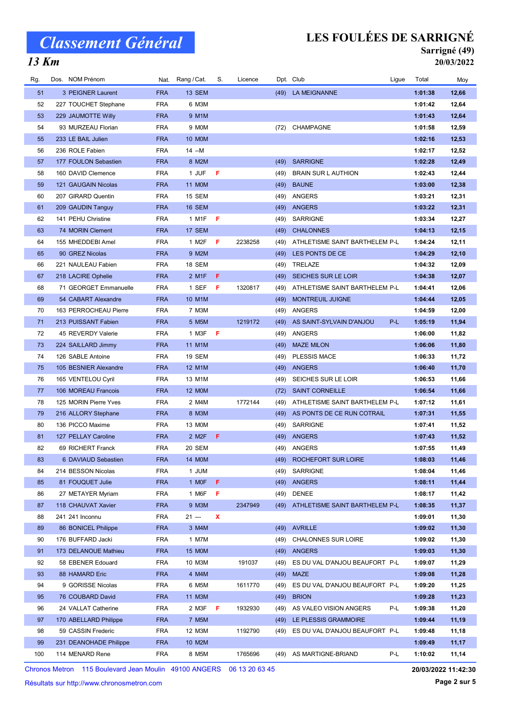## $\overline{13 \text{ Km}}$

## LES FOULÉES DE SARRIGNÉ

### Sarrigné (49) 20/03/2022

| Rg. | Dos. NOM Prénom        |            | Nat. Rang / Cat. | S. | Licence |      | Dpt. Club                           | Ligue | Total   | Moy   |
|-----|------------------------|------------|------------------|----|---------|------|-------------------------------------|-------|---------|-------|
| 51  | 3 PEIGNER Laurent      | <b>FRA</b> | 13 SEM           |    |         |      | (49) LA MEIGNANNE                   |       | 1:01:38 | 12,66 |
| 52  | 227 TOUCHET Stephane   | <b>FRA</b> | 6 M3M            |    |         |      |                                     |       | 1:01:42 | 12,64 |
| 53  | 229 JAUMOTTE Willy     | <b>FRA</b> | 9 M1M            |    |         |      |                                     |       | 1:01:43 | 12,64 |
| 54  | 93 MURZEAU Florian     | <b>FRA</b> | 9 MOM            |    |         |      | (72) CHAMPAGNE                      |       | 1:01:58 | 12,59 |
| 55  | 233 LE BAIL Julien     | <b>FRA</b> | <b>10 MOM</b>    |    |         |      |                                     |       | 1:02:16 | 12,53 |
| 56  | 236 ROLE Fabien        | <b>FRA</b> | 14 --M           |    |         |      |                                     |       | 1:02:17 | 12,52 |
| 57  | 177 FOULON Sebastien   | <b>FRA</b> | 8 M2M            |    |         | (49) | <b>SARRIGNE</b>                     |       | 1:02:28 | 12,49 |
| 58  | 160 DAVID Clemence     | <b>FRA</b> | 1 JUF            | F. |         | (49) | <b>BRAIN SUR L AUTHION</b>          |       | 1:02:43 | 12,44 |
| 59  | 121 GAUGAIN Nicolas    | <b>FRA</b> | 11 M0M           |    |         | (49) | <b>BAUNE</b>                        |       | 1:03:00 | 12,38 |
| 60  | 207 GIRARD Quentin     | <b>FRA</b> | 15 SEM           |    |         | (49) | ANGERS                              |       | 1:03:21 | 12,31 |
| 61  | 209 GAUDIN Tanguy      | <b>FRA</b> | 16 SEM           |    |         | (49) | ANGERS                              |       | 1:03:22 | 12,31 |
| 62  | 141 PEHU Christine     | <b>FRA</b> | 1 M1F            | F  |         | (49) | SARRIGNE                            |       | 1:03:34 | 12,27 |
| 63  | 74 MORIN Clement       | <b>FRA</b> | 17 SEM           |    |         | (49) | <b>CHALONNES</b>                    |       | 1:04:13 | 12,15 |
| 64  | 155 MHEDDEBI Amel      | <b>FRA</b> | 1 M2F            | F  | 2238258 | (49) | ATHLETISME SAINT BARTHELEM P-L      |       | 1:04:24 | 12,11 |
| 65  | 90 GREZ Nicolas        | <b>FRA</b> | 9 M2M            |    |         |      | (49) LES PONTS DE CE                |       | 1:04:29 | 12,10 |
| 66  | 221 NAULEAU Fabien     | <b>FRA</b> | 18 SEM           |    |         | (49) | TRELAZE                             |       | 1:04:32 | 12,09 |
| 67  | 218 LACIRE Ophelie     | <b>FRA</b> | 2 M1F            | F. |         | (49) | SEICHES SUR LE LOIR                 |       | 1:04:38 | 12,07 |
| 68  | 71 GEORGET Emmanuelle  | <b>FRA</b> | 1 SEF            | F  | 1320817 | (49) | ATHLETISME SAINT BARTHELEM P-L      |       | 1:04:41 | 12,06 |
| 69  | 54 CABART Alexandre    | <b>FRA</b> | 10 M1M           |    |         | (49) | <b>MONTREUIL JUIGNE</b>             |       | 1:04:44 | 12,05 |
| 70  | 163 PERROCHEAU Pierre  | <b>FRA</b> | 7 M3M            |    |         | (49) | ANGERS                              |       | 1:04:59 | 12,00 |
| 71  | 213 PUISSANT Fabien    | <b>FRA</b> | 5 M5M            |    | 1219172 | (49) | AS SAINT-SYLVAIN D'ANJOU            | P-L   | 1:05:19 | 11,94 |
| 72  | 45 REVERDY Valerie     | <b>FRA</b> | 1 M3F            | F  |         | (49) | <b>ANGERS</b>                       |       | 1:06:00 | 11,82 |
| 73  | 224 SAILLARD Jimmy     | <b>FRA</b> | 11 M1M           |    |         | (49) | <b>MAZE MILON</b>                   |       | 1:06:06 | 11,80 |
| 74  | 126 SABLE Antoine      | <b>FRA</b> | 19 SEM           |    |         |      | (49) PLESSIS MACE                   |       | 1:06:33 | 11,72 |
| 75  | 105 BESNIER Alexandre  | <b>FRA</b> | 12 M1M           |    |         | (49) | ANGERS                              |       | 1:06:40 | 11,70 |
| 76  | 165 VENTELOU Cyril     | <b>FRA</b> | 13 M1M           |    |         | (49) | SEICHES SUR LE LOIR                 |       | 1:06:53 | 11,66 |
| 77  | 106 MOREAU Francois    | <b>FRA</b> | <b>12 MOM</b>    |    |         | (72) | <b>SAINT CORNEILLE</b>              |       | 1:06:54 | 11,66 |
| 78  | 125 MORIN Pierre Yves  | <b>FRA</b> | 2 M4M            |    | 1772144 | (49) | ATHLETISME SAINT BARTHELEM P-L      |       | 1:07:12 | 11,61 |
| 79  | 216 ALLORY Stephane    | <b>FRA</b> | 8 M3M            |    |         | (49) | AS PONTS DE CE RUN COTRAIL          |       | 1:07:31 | 11,55 |
| 80  | 136 PICCO Maxime       | <b>FRA</b> | 13 M0M           |    |         | (49) | <b>SARRIGNE</b>                     |       | 1:07:41 | 11,52 |
| 81  | 127 PELLAY Caroline    | <b>FRA</b> | 2 M2F            | F. |         | (49) | ANGERS                              |       | 1:07:43 | 11,52 |
| 82  | 69 RICHERT Franck      | <b>FRA</b> | 20 SEM           |    |         |      | (49) ANGERS                         |       | 1:07:55 | 11,49 |
| 83  | 6 DAVIAUD Sebastien    | <b>FRA</b> | 14 M0M           |    |         |      | (49) ROCHEFORT SUR LOIRE            |       | 1:08:03 | 11,46 |
| 84  | 214 BESSON Nicolas     | FRA        | 1 JUM            |    |         | (49) | SARRIGNE                            |       | 1:08:04 | 11,46 |
| 85  | 81 FOUQUET Julie       | <b>FRA</b> | 1 MOF            | F. |         | (49) | ANGERS                              |       | 1:08:11 | 11,44 |
| 86  | 27 METAYER Myriam      | <b>FRA</b> | 1 M6F            | F  |         | (49) | <b>DENEE</b>                        |       | 1:08:17 | 11,42 |
| 87  | 118 CHAUVAT Xavier     | <b>FRA</b> | 9 M3M            |    | 2347949 |      | (49) ATHLETISME SAINT BARTHELEM P-L |       | 1:08:35 | 11,37 |
| 88  | 241 241 Inconnu        | FRA        | 21 ---           | X  |         |      |                                     |       | 1:09:01 | 11,30 |
| 89  | 86 BONICEL Philippe    | <b>FRA</b> | 3 M4M            |    |         |      | (49) AVRILLE                        |       | 1:09:02 | 11,30 |
| 90  | 176 BUFFARD Jacki      | <b>FRA</b> | 1 M7M            |    |         | (49) | <b>CHALONNES SUR LOIRE</b>          |       | 1:09:02 | 11,30 |
| 91  | 173 DELANOUE Mathieu   | <b>FRA</b> | <b>15 MOM</b>    |    |         |      | (49) ANGERS                         |       | 1:09:03 | 11,30 |
| 92  | 58 EBENER Edouard      | FRA        | 10 M3M           |    | 191037  |      | (49) ES DU VAL D'ANJOU BEAUFORT P-L |       | 1:09:07 | 11,29 |
| 93  | 88 HAMARD Eric         | <b>FRA</b> | 4 M4M            |    |         |      | $(49)$ MAZE                         |       | 1:09:08 | 11,28 |
| 94  | 9 GORISSE Nicolas      | FRA        | 6 M5M            |    | 1611770 | (49) | ES DU VAL D'ANJOU BEAUFORT P-L      |       | 1:09:20 | 11,25 |
| 95  | 76 COUBARD David       | <b>FRA</b> | 11 M3M           |    |         | (49) | <b>BRION</b>                        |       | 1:09:28 | 11,23 |
| 96  | 24 VALLAT Catherine    | FRA        | 2 M3F            | F  | 1932930 | (49) | AS VALEO VISION ANGERS              | P-L   | 1:09:38 | 11,20 |
| 97  | 170 ABELLARD Philippe  | <b>FRA</b> | 7 M5M            |    |         | (49) | LE PLESSIS GRAMMOIRE                |       | 1:09:44 | 11,19 |
| 98  | 59 CASSIN Frederic     | FRA        | 12 M3M           |    | 1192790 |      | (49) ES DU VAL D'ANJOU BEAUFORT P-L |       | 1:09:48 | 11,18 |
| 99  | 231 DEANOHADE Philippe | <b>FRA</b> | 10 M2M           |    |         |      |                                     |       | 1:09:49 | 11,17 |
| 100 | 114 MENARD Rene        | FRA        | 8 M5M            |    | 1765696 |      | (49) AS MARTIGNE-BRIAND             | P-L   | 1:10:02 | 11,14 |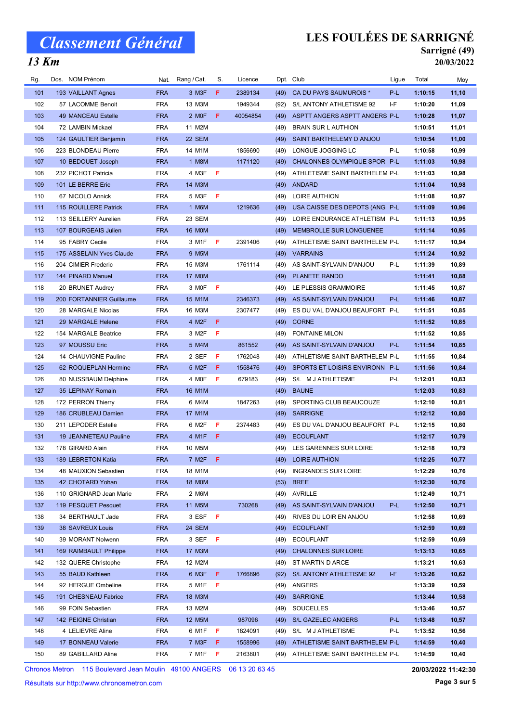## $\overline{13 \text{ Km}}$

# LES FOULÉES DE SARRIGNÉ

### Sarrigné (49) 20/03/2022

| Rg.        | Dos. NOM Prénom                            | Nat.                     | Rang / Cat.              | S.  | Licence  |      | Dpt. Club                                                        | Ligue | Total   | Moy            |
|------------|--------------------------------------------|--------------------------|--------------------------|-----|----------|------|------------------------------------------------------------------|-------|---------|----------------|
| 101        | 193 VAILLANT Agnes                         | <b>FRA</b>               | 3 M3F                    | F.  | 2389134  | (49) | CA DU PAYS SAUMUROIS *                                           | P-L   | 1:10:15 | 11,10          |
| 102        | 57 LACOMME Benoit                          | <b>FRA</b>               | 13 M3M                   |     | 1949344  | (92) | S/L ANTONY ATHLETISME 92                                         | I-F   | 1:10:20 | 11,09          |
| 103        | 49 MANCEAU Estelle                         | <b>FRA</b>               | 2 MOF                    | F   | 40054854 | (49) | ASPTT ANGERS ASPTT ANGERS P-L                                    |       | 1:10:28 | 11,07          |
| 104        | 72 LAMBIN Mickael                          | <b>FRA</b>               | 11 M2M                   |     |          | (49) | <b>BRAIN SUR L AUTHION</b>                                       |       | 1:10:51 | 11,01          |
| 105        | 124 GAULTIER Benjamin                      | <b>FRA</b>               | 22 SEM                   |     |          | (49) | SAINT BARTHELEMY D ANJOU                                         |       | 1:10:54 | 11,00          |
| 106        | 223 BLONDEAU Pierre                        | <b>FRA</b>               | 14 M1M                   |     | 1856690  | (49) | LONGUE JOGGING LC                                                | P-L   | 1:10:58 | 10,99          |
| 107        | 10 BEDOUET Joseph                          | <b>FRA</b>               | 1 M8M                    |     | 1171120  | (49) | CHALONNES OLYMPIQUE SPOR P-L                                     |       | 1:11:03 | 10,98          |
| 108        | 232 PICHOT Patricia                        | <b>FRA</b>               | 4 M3F                    | -F  |          | (49) | ATHLETISME SAINT BARTHELEM P-L                                   |       | 1:11:03 | 10,98          |
| 109        | 101 LE BERRE Eric                          | <b>FRA</b>               | 14 M3M                   |     |          | (49) | ANDARD                                                           |       | 1:11:04 | 10,98          |
| 110        | 67 NICOLO Annick                           | <b>FRA</b>               | 5 M3F                    | - F |          | (49) | <b>LOIRE AUTHION</b>                                             |       | 1:11:08 | 10,97          |
| 111        | 115 ROUILLERE Patrick                      | <b>FRA</b>               | 1 M6M                    |     | 1219636  | (49) | USA CAISSE DES DEPOTS (ANG P-L                                   |       | 1:11:09 | 10,96          |
| 112        | 113 SEILLERY Aurelien                      | <b>FRA</b>               | 23 SEM                   |     |          | (49) | LOIRE ENDURANCE ATHLETISM P-L                                    |       | 1:11:13 | 10,95          |
| 113        | 107 BOURGEAIS Julien                       | <b>FRA</b>               | <b>16 MOM</b>            |     |          | (49) | MEMBROLLE SUR LONGUENEE                                          |       | 1:11:14 | 10,95          |
| 114        | 95 FABRY Cecile                            | <b>FRA</b>               | 3 M1F                    | -F  | 2391406  | (49) | ATHLETISME SAINT BARTHELEM P-L                                   |       | 1:11:17 | 10,94          |
| 115        | 175 ASSELAIN Yves Claude                   | <b>FRA</b>               | 9 M5M                    |     |          | (49) | <b>VARRAINS</b>                                                  |       | 1:11:24 | 10,92          |
| 116        | 204 CIMIER Frederic                        | <b>FRA</b>               | 15 M3M                   |     | 1761114  | (49) | AS SAINT-SYLVAIN D'ANJOU                                         | P-L   | 1:11:39 | 10,89          |
| 117        | 144 PINARD Manuel                          | <b>FRA</b>               | <b>17 MOM</b>            |     |          | (49) | PLANETE RANDO                                                    |       | 1:11:41 | 10,88          |
| 118        | 20 BRUNET Audrey                           | <b>FRA</b>               | 3 MOF                    | - F |          | (49) | LE PLESSIS GRAMMOIRE                                             |       | 1:11:45 | 10,87          |
| 119        | 200 FORTANNIER Guillaume                   | <b>FRA</b>               | 15 M1M                   |     | 2346373  | (49) | AS SAINT-SYLVAIN D'ANJOU                                         | P-L   | 1:11:46 | 10,87          |
| 120        | 28 MARGALE Nicolas                         | <b>FRA</b>               | 16 M3M                   |     | 2307477  | (49) | ES DU VAL D'ANJOU BEAUFORT P-L                                   |       | 1:11:51 | 10,85          |
| 121        | 29 MARGALE Helene                          | <b>FRA</b>               | 4 M2F                    | F   |          | (49) | <b>CORNE</b>                                                     |       | 1:11:52 | 10,85          |
| 122        | 154 MARGALE Beatrice                       | <b>FRA</b>               | 3 M2F                    | F   |          | (49) | <b>FONTAINE MILON</b>                                            |       | 1:11:52 | 10,85          |
| 123        | 97 MOUSSU Eric                             | <b>FRA</b>               | 5 M4M                    |     | 861552   | (49) | AS SAINT-SYLVAIN D'ANJOU                                         | P-L   | 1:11:54 | 10,85          |
| 124        | 14 CHAUVIGNE Pauline                       | <b>FRA</b>               | 2 SEF                    | F   | 1762048  |      |                                                                  |       | 1:11:55 |                |
| 125        | 62 ROQUEPLAN Hermine                       | <b>FRA</b>               | 5 M2F                    | F   | 1558476  | (49) | ATHLETISME SAINT BARTHELEM P-L<br>SPORTS ET LOISIRS ENVIRONN P-L |       |         | 10,84<br>10,84 |
|            |                                            | <b>FRA</b>               | 4 MOF                    | F   |          | (49) |                                                                  |       | 1:11:56 |                |
| 126        | 80 NUSSBAUM Delphine                       |                          |                          |     | 679183   | (49) | S/L M J ATHLETISME                                               | P-L   | 1:12:01 | 10,83          |
| 127<br>128 | 35 LEPINAY Romain                          | <b>FRA</b><br><b>FRA</b> | 16 M1M<br>6 M4M          |     |          | (49) | <b>BAUNE</b>                                                     |       | 1:12:03 | 10,83          |
| 129        | 172 PERRON Thierry                         | <b>FRA</b>               |                          |     | 1847263  | (49) | SPORTING CLUB BEAUCOUZE                                          |       | 1:12:10 | 10,81          |
| 130        | 186 CRUBLEAU Damien<br>211 LEPODER Estelle | <b>FRA</b>               | 17 M1M<br>6 M2F          | F   | 2374483  | (49) | <b>SARRIGNE</b>                                                  |       | 1:12:12 | 10,80          |
| 131        |                                            | <b>FRA</b>               | 4 M1F                    | -F. |          | (49) | ES DU VAL D'ANJOU BEAUFORT P-L                                   |       | 1:12:15 | 10,80          |
|            | 19 JEANNETEAU Pauline<br>178 GIRARD Alain  |                          |                          |     |          | (49) | <b>ECOUFLANT</b>                                                 |       | 1:12:17 | 10,79          |
| 132        |                                            | <b>FRA</b><br><b>FRA</b> | 10 M5M                   |     |          | (49) | LES GARENNES SUR LOIRE                                           |       | 1:12:18 | 10,79          |
| 133        | 189 LEBRETON Katia                         |                          | $7$ M <sub>2</sub> F $F$ |     |          |      | (49) LOIRE AUTHION                                               |       | 1:12:25 | 10,77          |
| 134        | 48 MAUXION Sebastien                       | <b>FRA</b>               | 18 M1M                   |     |          | (49) | <b>INGRANDES SUR LOIRE</b>                                       |       | 1:12:29 | 10,76          |
| 135        | 42 CHOTARD Yohan                           | <b>FRA</b>               | 18 MOM                   |     |          | (53) | <b>BREE</b>                                                      |       | 1:12:30 | 10,76          |
| 136        | 110 GRIGNARD Jean Marie                    | <b>FRA</b>               | 2 M6M                    |     |          |      | (49) AVRILLE                                                     |       | 1:12:49 | 10,71          |
| 137<br>138 | 119 PESQUET Pesquet                        | <b>FRA</b>               | 11 M5M                   |     | 730268   | (49) | AS SAINT-SYLVAIN D'ANJOU                                         | P-L   | 1:12:50 | 10,71          |
|            | 34 BERTHAULT Jade                          | <b>FRA</b>               | 3 ESF F                  |     |          | (49) | RIVES DU LOIR EN ANJOU                                           |       | 1:12:58 | 10,69          |
| 139        | 38 SAVREUX Louis                           | <b>FRA</b>               | 24 SEM                   |     |          | (49) | <b>ECOUFLANT</b>                                                 |       | 1:12:59 | 10,69          |
| 140        | 39 MORANT Nolwenn                          | <b>FRA</b>               | 3 SEF F                  |     |          | (49) | <b>ECOUFLANT</b>                                                 |       | 1:12:59 | 10,69          |
| 141        | 169 RAIMBAULT Philippe                     | <b>FRA</b>               | 17 M3M                   |     |          | (49) | <b>CHALONNES SUR LOIRE</b>                                       |       | 1:13:13 | 10,65          |
| 142        | 132 QUERE Christophe                       | <b>FRA</b>               | 12 M2M                   |     |          | (49) | ST MARTIN D ARCE                                                 |       | 1:13:21 | 10,63          |
| 143        | 55 BAUD Kathleen                           | <b>FRA</b>               | 6 M3F                    | -F  | 1766896  | (92) | S/L ANTONY ATHLETISME 92                                         | I-F   | 1:13:26 | 10,62          |
| 144        | 92 HERGUE Ombeline                         | <b>FRA</b>               | 5 M1F                    | F   |          | (49) | ANGERS                                                           |       | 1:13:39 | 10,59          |
| 145        | 191 CHESNEAU Fabrice                       | <b>FRA</b>               | 18 M3M                   |     |          | (49) | <b>SARRIGNE</b>                                                  |       | 1:13:44 | 10,58          |
| 146        | 99 FOIN Sebastien                          | <b>FRA</b>               | 13 M2M                   |     |          | (49) | SOUCELLES                                                        |       | 1:13:46 | 10,57          |
| 147        | 142 PEIGNE Christian                       | <b>FRA</b>               | 12 M5M                   |     | 987096   | (49) | S/L GAZELEC ANGERS                                               | P-L   | 1:13:48 | 10,57          |
| 148        | 4 LELIEVRE Aline                           | <b>FRA</b>               | 6 M1F                    | F   | 1824091  | (49) | S/L M J ATHLETISME                                               | P-L   | 1:13:52 | 10,56          |
| 149        | 17 BONNEAU Valerie                         | <b>FRA</b>               | 7 M3F                    | -F  | 1558996  | (49) | ATHLETISME SAINT BARTHELEM P-L                                   |       | 1:14:59 | 10,40          |
| 150        | 89 GABILLARD Aline                         | <b>FRA</b>               | 7 M1F                    | - F | 2163801  | (49) | ATHLETISME SAINT BARTHELEM P-L                                   |       | 1:14:59 | 10,40          |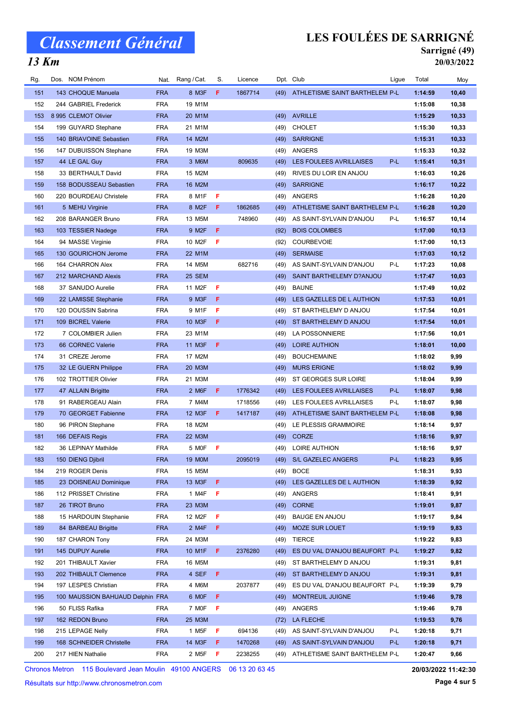# Classement Général

### $\overline{13 \text{ Km}}$

# LES FOULÉES DE SARRIGNÉ

### Sarrigné (49) 20/03/2022

| Rg.        | Dos. NOM Prénom                                          | Nat.       | Rang / Cat.        | S.  | Licence |      | Dpt. Club                                          | Ligue | Total              | Moy   |
|------------|----------------------------------------------------------|------------|--------------------|-----|---------|------|----------------------------------------------------|-------|--------------------|-------|
| 151        | 143 CHOQUE Manuela                                       | <b>FRA</b> | 8 M3F              | F.  | 1867714 | (49) | ATHLETISME SAINT BARTHELEM P-L                     |       | 1:14:59            | 10,40 |
| 152        | 244 GABRIEL Frederick                                    | <b>FRA</b> | 19 M1M             |     |         |      |                                                    |       | 1:15:08            | 10,38 |
| 153        | 8 995 CLEMOT Olivier                                     | <b>FRA</b> | 20 M1M             |     |         | (49) | <b>AVRILLE</b>                                     |       | 1:15:29            | 10,33 |
| 154        | 199 GUYARD Stephane                                      | <b>FRA</b> | 21 M1M             |     |         | (49) | <b>CHOLET</b>                                      |       | 1:15:30            | 10,33 |
| 155        | 140 BRIAVOINE Sebastien                                  | <b>FRA</b> | 14 M2M             |     |         | (49) | <b>SARRIGNE</b>                                    |       | 1:15:31            | 10,33 |
| 156        | 147 DUBUISSON Stephane                                   | <b>FRA</b> | 19 M3M             |     |         | (49) | ANGERS                                             |       | 1:15:33            | 10,32 |
| 157        | 44 LE GAL Guy                                            | <b>FRA</b> | 3 M6M              |     | 809635  | (49) | <b>LES FOULEES AVRILLAISES</b>                     | P-L   | 1:15:41            | 10,31 |
| 158        | 33 BERTHAULT David                                       | <b>FRA</b> | 15 M2M             |     |         | (49) | RIVES DU LOIR EN ANJOU                             |       | 1:16:03            | 10,26 |
| 159        | 158 BODUSSEAU Sebastien                                  | <b>FRA</b> | 16 M2M             |     |         | (49) | <b>SARRIGNE</b>                                    |       | 1:16:17            | 10,22 |
| 160        | 220 BOURDEAU Christele                                   | <b>FRA</b> | 8 M1F              | Æ   |         | (49) | <b>ANGERS</b>                                      |       | 1:16:28            | 10,20 |
| 161        | 5 MEHU Virginie                                          | <b>FRA</b> | 8 M2F              | F   | 1862685 | (49) | ATHLETISME SAINT BARTHELEM P-L                     |       | 1:16:28            | 10,20 |
| 162        | 208 BARANGER Bruno                                       | <b>FRA</b> | 13 M5M             |     | 748960  | (49) | AS SAINT-SYLVAIN D'ANJOU                           | P-L   | 1:16:57            | 10,14 |
| 163        | 103 TESSIER Nadege                                       | <b>FRA</b> | 9 M2F              | F   |         | (92) | <b>BOIS COLOMBES</b>                               |       | 1:17:00            | 10,13 |
| 164        | 94 MASSE Virginie                                        | <b>FRA</b> | 10 M2F             | F   |         | (92) | <b>COURBEVOIE</b>                                  |       | 1:17:00            | 10,13 |
| 165        | 130 GOURICHON Jerome                                     | <b>FRA</b> | 22 M1M             |     |         | (49) | <b>SERMAISE</b>                                    |       | 1:17:03            | 10,12 |
| 166        | 164 CHARRON Alex                                         | <b>FRA</b> | 14 M5M             |     | 682716  | (49) | AS SAINT-SYLVAIN D'ANJOU                           | P-L   | 1:17:23            | 10,08 |
| 167        | 212 MARCHAND Alexis                                      | <b>FRA</b> | 25 SEM             |     |         | (49) | SAINT BARTHELEMY D?ANJOU                           |       | 1:17:47            | 10,03 |
| 168        | 37 SANUDO Aurelie                                        | <b>FRA</b> | 11 M2F             | F   |         | (49) | <b>BAUNE</b>                                       |       | 1:17:49            | 10,02 |
| 169        | 22 LAMISSE Stephanie                                     | <b>FRA</b> | 9 M3F              | F   |         | (49) | LES GAZELLES DE L AUTHION                          |       | 1:17:53            | 10,01 |
| 170        | 120 DOUSSIN Sabrina                                      | <b>FRA</b> | 9 M1F              | F   |         | (49) | ST BARTHELEMY D ANJOU                              |       | 1:17:54            | 10,01 |
| 171        | 109 BICREL Valerie                                       | <b>FRA</b> | 10 M3F             | F   |         | (49) | ST BARTHELEMY D ANJOU                              |       | 1:17:54            | 10,01 |
| 172        | 7 COLOMBIER Julien                                       | <b>FRA</b> | 23 M1M             |     |         | (49) | LA POSSONNIERE                                     |       | 1:17:56            | 10,01 |
| 173        | 66 CORNEC Valerie                                        | <b>FRA</b> | 11 M3F             | F.  |         | (49) | <b>LOIRE AUTHION</b>                               |       | 1:18:01            | 10,00 |
| 174        | 31 CREZE Jerome                                          | <b>FRA</b> | 17 M2M             |     |         | (49) | <b>BOUCHEMAINE</b>                                 |       | 1:18:02            | 9,99  |
| 175        | 32 LE GUERN Philippe                                     | <b>FRA</b> | 20 M3M             |     |         | (49) | <b>MURS ERIGNE</b>                                 |       | 1:18:02            | 9,99  |
| 176        | 102 TROTTIER Olivier                                     | <b>FRA</b> | 21 M3M             |     |         | (49) | ST GEORGES SUR LOIRE                               |       | 1:18:04            | 9,99  |
| 177        | 47 ALLAIN Brigitte                                       | <b>FRA</b> | 2 M6F              | F.  | 1776342 | (49) | LES FOULEES AVRILLAISES                            | P-L   | 1:18:07            | 9,98  |
| 178        | 91 RABERGEAU Alain                                       | <b>FRA</b> | 7 M4M              |     | 1718556 | (49) | LES FOULEES AVRILLAISES                            | P-L   | 1:18:07            | 9,98  |
| 179        | 70 GEORGET Fabienne                                      | <b>FRA</b> | 12 M3F             | F.  | 1417187 | (49) | ATHLETISME SAINT BARTHELEM P-L                     |       | 1:18:08            | 9,98  |
| 180        | 96 PIRON Stephane                                        | <b>FRA</b> | 18 M2M             |     |         | (49) | LE PLESSIS GRAMMOIRE                               |       | 1:18:14            | 9,97  |
| 181        | 166 DEFAIS Regis                                         | <b>FRA</b> | 22 M3M             |     |         | (49) | CORZE                                              |       | 1:18:16            | 9,97  |
| 182        | 36 LEPINAY Mathilde                                      | <b>FRA</b> | 5 MOF              | -F. |         | (49) | LOIRE AUTHION                                      |       | 1:18:16            | 9,97  |
| 183        | 150 DIENG Djibril                                        | <b>FRA</b> | 19 M0M             |     | 2095019 |      | (49) S/L GAZELEC ANGERS                            | P-L   | 1:18:23            | 9,95  |
| 184        | 219 ROGER Denis                                          | <b>FRA</b> | 15 M5M             |     |         | (49) | <b>BOCE</b>                                        |       | 1:18:31            | 9,93  |
| 185        | 23 DOISNEAU Dominique                                    | <b>FRA</b> | 13 M3F             | F.  |         | (49) | LES GAZELLES DE L AUTHION                          |       | 1:18:39            | 9,92  |
| 186        | 112 PRISSET Christine                                    | <b>FRA</b> | 1 M4F              | F.  |         | (49) | ANGERS                                             |       | 1:18:41            | 9,91  |
| 187        | 26 TIROT Bruno                                           | <b>FRA</b> | 23 M3M             |     |         | (49) | <b>CORNE</b>                                       |       | 1:19:01            | 9,87  |
| 188        | 15 HARDOUIN Stephanie                                    | <b>FRA</b> | 12 M2F             | F   |         | (49) | <b>BAUGE EN ANJOU</b>                              |       | 1:19:17            | 9,84  |
| 189        | 84 BARBEAU Brigitte                                      | <b>FRA</b> | 2 M4F              | F.  |         | (49) | <b>MOZE SUR LOUET</b>                              |       | 1:19:19            | 9,83  |
| 190        | 187 CHARON Tony                                          | <b>FRA</b> | 24 M3M             |     |         | (49) | TIERCE                                             |       | 1:19:22            | 9,83  |
| 191        | 145 DUPUY Aurelie                                        | <b>FRA</b> | 10 M1F             | F.  | 2376280 | (49) | ES DU VAL D'ANJOU BEAUFORT P-L                     |       | 1:19:27            | 9,82  |
| 192        | 201 THIBAULT Xavier                                      | <b>FRA</b> | 16 M5M             |     |         | (49) | ST BARTHELEMY D ANJOU                              |       | 1:19:31            | 9,81  |
| 193        | 202 THIBAULT Clemence                                    | <b>FRA</b> | 4 SEF              | F.  |         | (49) | ST BARTHELEMY D ANJOU                              |       | 1:19:31            | 9,81  |
|            |                                                          |            |                    |     |         |      |                                                    |       |                    | 9,79  |
| 194<br>195 | 197 LESPES Christian<br>100 MAUSSION BAHUAUD Delphin FRA | <b>FRA</b> | 4 M6M<br>6 MOF     | F.  | 2037877 | (49) | ES DU VAL D'ANJOU BEAUFORT P-L<br>MONTREUIL JUIGNE |       | 1:19:39<br>1:19:46 | 9,78  |
| 196        |                                                          | <b>FRA</b> | 7 MOF              | F   |         | (49) |                                                    |       |                    | 9,78  |
|            | 50 FLISS Rafika                                          |            |                    |     |         | (49) | ANGERS                                             |       | 1:19:46            |       |
| 197<br>198 | 162 REDON Bruno                                          | <b>FRA</b> | 25 M3M             |     |         |      | (72) LA FLECHE                                     | P-L   | 1:19:53            | 9,76  |
|            | 215 LEPAGE Nelly                                         | <b>FRA</b> | 1 M <sub>5</sub> F | F.  | 694136  | (49) | AS SAINT-SYLVAIN D'ANJOU                           |       | 1:20:18            | 9,71  |
| 199        | 168 SCHNEIDER Christelle                                 | <b>FRA</b> | 14 M3F             | F.  | 1470268 | (49) | AS SAINT-SYLVAIN D'ANJOU                           | P-L   | 1:20:18            | 9,71  |
| 200        | 217 HIEN Nathalie                                        | <b>FRA</b> | 2 M <sub>5</sub> F | F.  | 2238255 | (49) | ATHLETISME SAINT BARTHELEM P-L                     |       | 1:20:47            | 9,66  |